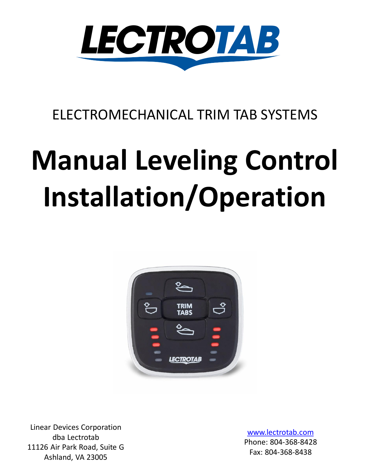

### ELECTROMECHANICAL TRIM TAB SYSTEMS

# **Manual Leveling Control Installation/Operation**



Linear Devices Corporation dba Lectrotab 11126 Air Park Road, Suite G Ashland, VA 23005

[www.lectrotab.com](http://www.lectrotab.com/) Phone: 804-368-8428 Fax: 804-368-8438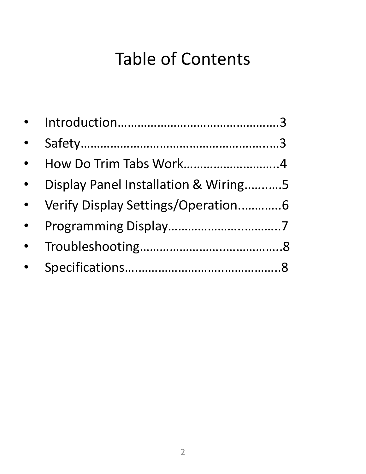# Table of Contents

| $\bullet$ |                                      |  |
|-----------|--------------------------------------|--|
| $\bullet$ | How Do Trim Tabs Work4               |  |
| $\bullet$ | Display Panel Installation & Wiring5 |  |
| $\bullet$ | Verify Display Settings/Operation6   |  |
| $\bullet$ |                                      |  |
|           |                                      |  |
| $\bullet$ |                                      |  |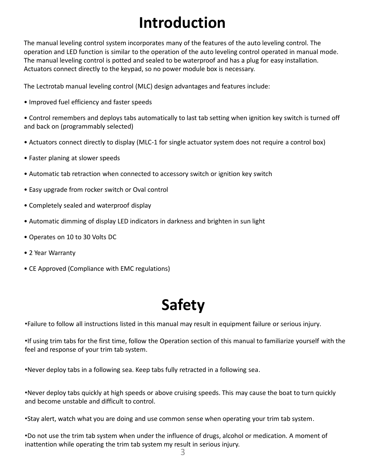# **Introduction**

The manual leveling control system incorporates many of the features of the auto leveling control. The operation and LED function is similar to the operation of the auto leveling control operated in manual mode. The manual leveling control is potted and sealed to be waterproof and has a plug for easy installation. Actuators connect directly to the keypad, so no power module box is necessary.

The Lectrotab manual leveling control (MLC) design advantages and features include:

• Improved fuel efficiency and faster speeds

• Control remembers and deploys tabs automatically to last tab setting when ignition key switch is turned off and back on (programmably selected)

- Actuators connect directly to display (MLC-1 for single actuator system does not require a control box)
- Faster planing at slower speeds
- Automatic tab retraction when connected to accessory switch or ignition key switch
- Easy upgrade from rocker switch or Oval control
- Completely sealed and waterproof display
- Automatic dimming of display LED indicators in darkness and brighten in sun light
- Operates on 10 to 30 Volts DC
- 2 Year Warranty
- CE Approved (Compliance with EMC regulations)

# **Safety**

•Failure to follow all instructions listed in this manual may result in equipment failure or serious injury.

•If using trim tabs for the first time, follow the Operation section of this manual to familiarize yourself with the feel and response of your trim tab system.

•Never deploy tabs in a following sea. Keep tabs fully retracted in a following sea.

•Never deploy tabs quickly at high speeds or above cruising speeds. This may cause the boat to turn quickly and become unstable and difficult to control.

•Stay alert, watch what you are doing and use common sense when operating your trim tab system.

•Do not use the trim tab system when under the influence of drugs, alcohol or medication. A moment of inattention while operating the trim tab system my result in serious injury.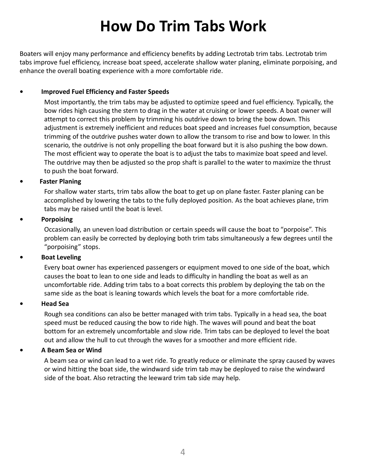## **How Do Trim Tabs Work**

Boaters will enjoy many performance and efficiency benefits by adding Lectrotab trim tabs. Lectrotab trim tabs improve fuel efficiency, increase boat speed, accelerate shallow water planing, eliminate porpoising, and enhance the overall boating experience with a more comfortable ride.

#### **• Improved Fuel Efficiency and Faster Speeds**

Most importantly, the trim tabs may be adjusted to optimize speed and fuel efficiency. Typically, the bow rides high causing the stern to drag in the water at cruising or lower speeds. A boat owner will attempt to correct this problem by trimming his outdrive down to bring the bow down. This adjustment is extremely inefficient and reduces boat speed and increases fuel consumption, because trimming of the outdrive pushes water down to allow the transom to rise and bow to lower. In this scenario, the outdrive is not only propelling the boat forward but it is also pushing the bow down. The most efficient way to operate the boat is to adjust the tabs to maximize boat speed and level. The outdrive may then be adjusted so the prop shaft is parallel to the water to maximize the thrust to push the boat forward.

#### **• Faster Planing**

For shallow water starts, trim tabs allow the boat to get up on plane faster. Faster planing can be accomplished by lowering the tabs to the fully deployed position. As the boat achieves plane, trim tabs may be raised until the boat is level.

#### **• Porpoising**

Occasionally, an uneven load distribution or certain speeds will cause the boat to "porpoise". This problem can easily be corrected by deploying both trim tabs simultaneously a few degrees until the "porpoising" stops.

#### **• Boat Leveling**

Every boat owner has experienced passengers or equipment moved to one side of the boat, which causes the boat to lean to one side and leads to difficulty in handling the boat as well as an uncomfortable ride. Adding trim tabs to a boat corrects this problem by deploying the tab on the same side as the boat is leaning towards which levels the boat for a more comfortable ride.

#### **• Head Sea**

Rough sea conditions can also be better managed with trim tabs. Typically in a head sea, the boat speed must be reduced causing the bow to ride high. The waves will pound and beat the boat bottom for an extremely uncomfortable and slow ride. Trim tabs can be deployed to level the boat out and allow the hull to cut through the waves for a smoother and more efficient ride.

#### **• A Beam Sea or Wind**

A beam sea or wind can lead to a wet ride. To greatly reduce or eliminate the spray caused by waves or wind hitting the boat side, the windward side trim tab may be deployed to raise the windward side of the boat. Also retracting the leeward trim tab side may help.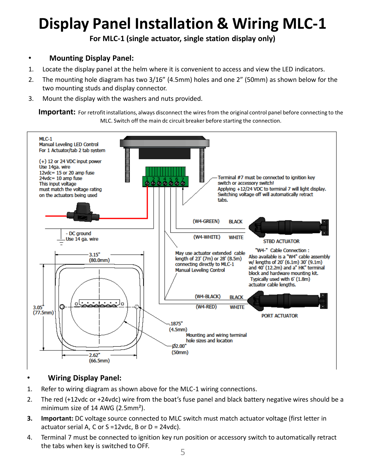# **Display Panel Installation & Wiring MLC-1**

**For MLC-1 (single actuator, single station display only)**

#### • **Mounting Display Panel:**

- 1. Locate the display panel at the helm where it is convenient to access and view the LED indicators.
- 2. The mounting hole diagram has two 3/16" (4.5mm) holes and one 2" (50mm) as shown below for the two mounting studs and display connector.
- 3. Mount the display with the washers and nuts provided.

**Important:** For retrofit installations, always disconnect the wires from the original control panel before connecting to the MLC. Switch off the main dc circuit breaker before starting the connection.



#### • **Wiring Display Panel:**

- 1. Refer to wiring diagram as shown above for the MLC-1 wiring connections.
- 2. The red (+12vdc or +24vdc) wire from the boat's fuse panel and black battery negative wires should be a minimum size of 14 AWG (2.5mm²).
- **3. Important:** DC voltage source connected to MLC switch must match actuator voltage (first letter in actuator serial A, C or S =12vdc, B or D = 24vdc).
- 4. Terminal 7 must be connected to ignition key run position or accessory switch to automatically retract the tabs when key is switched to OFF.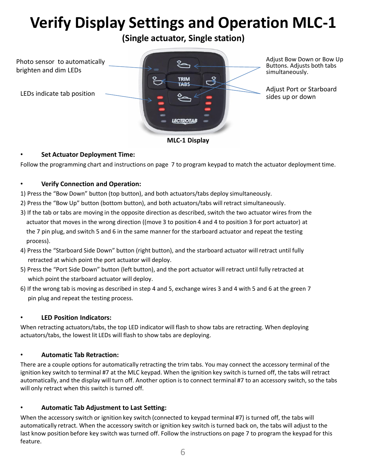# **Verify Display Settings and Operation MLC-1**

**(Single actuator, Single station)**



**MLC-1 Display**

#### • **Set Actuator Deployment Time:**

Follow the programming chart and instructions on page 7 to program keypad to match the actuator deployment time.

#### • **Verify Connection and Operation:**

1) Press the "Bow Down" button (top button), and both actuators/tabs deploy simultaneously.

- 2) Press the "Bow Up" button (bottom button), and both actuators/tabs will retract simultaneously.
- 3) If the tab or tabs are moving in the opposite direction as described, switch the two actuator wires from the actuator that moves in the wrong direction ((move 3 to position 4 and 4 to position 3 for port actuator) at the 7 pin plug, and switch 5 and 6 in the same manner for the starboard actuator and repeat the testing process).
- 4) Press the "Starboard Side Down" button (right button), and the starboard actuator will retract until fully retracted at which point the port actuator will deploy.
- 5) Press the "Port Side Down" button (left button), and the port actuator will retract until fully retracted at which point the starboard actuator will deploy.
- 6) If the wrong tab is moving as described in step 4 and 5, exchange wires 3 and 4 with 5 and 6 at the green 7 pin plug and repeat the testing process.

#### • **LED Position Indicators:**

When retracting actuators/tabs, the top LED indicator will flash to show tabs are retracting. When deploying actuators/tabs, the lowest lit LEDs will flash to show tabs are deploying.

#### • **Automatic Tab Retraction:**

There are a couple options for automatically retracting the trim tabs. You may connect the accessory terminal of the ignition key switch to terminal #7 at the MLC keypad. When the ignition key switch is turned off, the tabs will retract automatically, and the display will turn off. Another option is to connect terminal #7 to an accessory switch, so the tabs will only retract when this switch is turned off.

#### • **Automatic Tab Adjustment to Last Setting:**

When the accessory switch or ignition key switch (connected to keypad terminal #7) is turned off, the tabs will automatically retract. When the accessory switch or ignition key switch is turned back on, the tabs will adjust to the last know position before key switch was turned off. Follow the instructions on page 7 to program the keypad for this feature.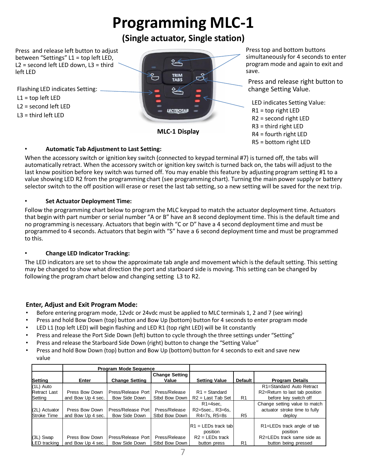# **Programming MLC-1**

#### **(Single actuator, Single station)**

Press and release left button to adjust between "Settings" L1 = top left LED, L2 = second left LED down, L3 = third left LED

 $L1 = \text{top}$  left LED L2 = second left LED

L3 = third left LED



Press top and bottom buttons simultaneously for 4 seconds to enter program mode and again to exit and save.

Press and release right button to

LED indicates Setting Value:  $R1 = top$  right LED R2 = second right LED R3 = third right LED R4 = fourth right LED R5 = bottom right LED

#### • **Automatic Tab Adjustment to Last Setting:**

When the accessory switch or ignition key switch (connected to keypad terminal #7) is turned off, the tabs will automatically retract. When the accessory switch or ignition key switch is turned back on, the tabs will adjust to the last know position before key switch was turned off. You may enable this feature by adjusting program setting #1 to a value showing LED R2 from the programming chart (see programming chart). Turning the main power supply or battery selector switch to the off position will erase or reset the last tab setting, so a new setting will be saved for the next trip.

#### • **Set Actuator Deployment Time:**

Follow the programming chart below to program the MLC keypad to match the actuator deployment time. Actuators that begin with part number or serial number "A or B" have an 8 second deployment time. This is the default time and no programming is necessary. Actuators that begin with "C or D" have a 4 second deployment time and must be programmed to 4 seconds. Actuators that begin with "S" have a 6 second deployment time and must be programmed to this.

#### • **Change LED Indicator Tracking:**

The LED indicators are set to show the approximate tab angle and movement which is the default setting. This setting may be changed to show what direction the port and starboard side is moving. This setting can be changed by following the program chart below and changing setting L3 to R2.

#### **Enter, Adjust and Exit Program Mode:**

- Before entering program mode, 12vdc or 24vdc must be applied to MLC terminals 1, 2 and 7 (see wiring)
- Press and hold Bow Down (top) button and Bow Up (bottom) button for 4 seconds to enter program mode
- LED L1 (top left LED) will begin flashing and LED R1 (top right LED) will be lit constantly
- Press and release the Port Side Down (left) button to cycle through the three settings under "Setting"
- Press and release the Starboard Side Down (right) button to change the "Setting Value"
- Press and hold Bow Down (top) button and Bow Up (bottom) button for 4 seconds to exit and save new value

|                     | <b>Program Mode Sequence</b> |                       |                       |                         |                |                                |
|---------------------|------------------------------|-----------------------|-----------------------|-------------------------|----------------|--------------------------------|
|                     |                              |                       | <b>Change Setting</b> |                         |                |                                |
| Setting             | Enter                        | <b>Change Setting</b> | Value                 | <b>Setting Value</b>    | <b>Default</b> | <b>Program Details</b>         |
| $(1L)$ Auto         |                              |                       |                       |                         |                | R1=Standard Auto Retract       |
| <b>Retract Last</b> | Press Bow Down               | Press/Release Port    | Press/Release         | $R1 = Standard$         |                | R2=Return to last tab position |
| Setting             | and Bow Up 4 sec.            | <b>Bow Side Down</b>  | Stbd Bow Down         | $R2$ = Last Tab Set     | R <sub>1</sub> | before key switch off          |
|                     |                              |                       |                       | $R1 = 4$ sec.           |                | Change setting value to match  |
| (2L) Actuator       | Press Bow Down               | Press/Release Port    | Press/Release         | R2=5sec., R3=6s,        |                | actuator stroke time to fully  |
| <b>Stroke Time</b>  | and Bow Up 4 sec.            | Bow Side Down         | Stbd Bow Down         | R4=7s. R5=8s            | R <sub>5</sub> | deploy                         |
|                     |                              |                       |                       |                         |                |                                |
|                     |                              |                       |                       | $IR1 = LEDs$ track tabl |                | R1=LEDs track angle of tab     |
|                     |                              |                       |                       | position                |                | position                       |
| $(3L)$ Swap         | Press Bow Down               | Press/Release Port    | Press/Release         | $R2 = LEDs$ track       |                | R2=LEDs track same side as     |
| <b>LED</b> tracking | and Bow Up 4 sec.            | <b>Bow Side Down</b>  | Stbd Bow Down         | button press            | R <sub>1</sub> | button being pressed           |